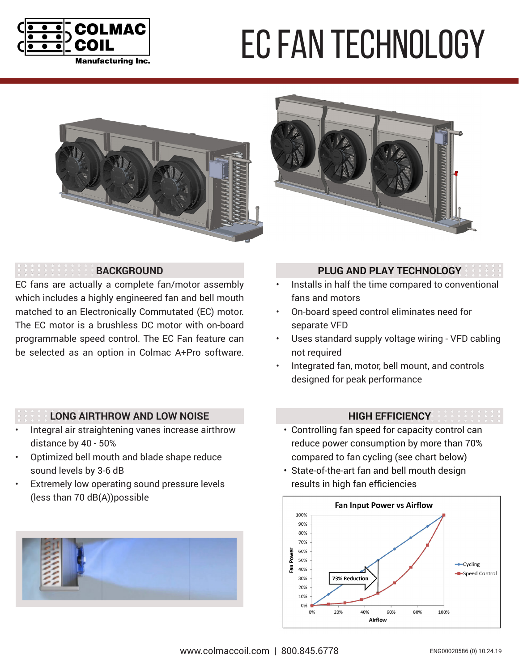

# EC fan technology





### **BACKGROUND**

EC fans are actually a complete fan/motor assembly which includes a highly engineered fan and bell mouth matched to an Electronically Commutated (EC) motor. The EC motor is a brushless DC motor with on-board programmable speed control. The EC Fan feature can be selected as an option in Colmac A+Pro software.

## **PLUG AND PLAY TECHNOLOGY**

- Installs in half the time compared to conventional fans and motors
- On-board speed control eliminates need for separate VFD
- Uses standard supply voltage wiring VFD cabling not required
- Integrated fan, motor, bell mount, and controls designed for peak performance

#### **LONG AIRTHROW AND LOW NOISE**

- Integral air straightening vanes increase airthrow distance by 40 - 50%
- Optimized bell mouth and blade shape reduce sound levels by 3-6 dB
- Extremely low operating sound pressure levels (less than 70 dB(A))possible



## **HIGH EFFICIENCY**

- Controlling fan speed for capacity control can reduce power consumption by more than 70% compared to fan cycling (see chart below)
- State-of-the-art fan and bell mouth design results in high fan efficiencies